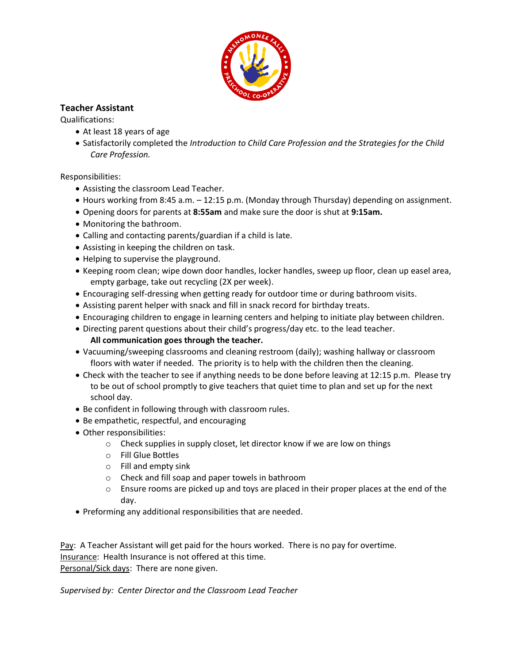

## **Teacher Assistant**

Qualifications:

- At least 18 years of age
- Satisfactorily completed the *Introduction to Child Care Profession and the Strategies for the Child Care Profession.*

Responsibilities:

- Assisting the classroom Lead Teacher.
- Hours working from 8:45 a.m. 12:15 p.m. (Monday through Thursday) depending on assignment.
- Opening doors for parents at **8:55am** and make sure the door is shut at **9:15am.**
- Monitoring the bathroom.
- Calling and contacting parents/guardian if a child is late.
- Assisting in keeping the children on task.
- Helping to supervise the playground.
- Keeping room clean; wipe down door handles, locker handles, sweep up floor, clean up easel area, empty garbage, take out recycling (2X per week).
- Encouraging self-dressing when getting ready for outdoor time or during bathroom visits.
- Assisting parent helper with snack and fill in snack record for birthday treats.
- Encouraging children to engage in learning centers and helping to initiate play between children.
- Directing parent questions about their child's progress/day etc. to the lead teacher. **All communication goes through the teacher.**
- Vacuuming/sweeping classrooms and cleaning restroom (daily); washing hallway or classroom floors with water if needed. The priority is to help with the children then the cleaning.
- Check with the teacher to see if anything needs to be done before leaving at 12:15 p.m. Please try to be out of school promptly to give teachers that quiet time to plan and set up for the next school day.
- Be confident in following through with classroom rules.
- Be empathetic, respectful, and encouraging
- Other responsibilities:
	- $\circ$  Check supplies in supply closet, let director know if we are low on things
	- o Fill Glue Bottles
	- o Fill and empty sink
	- o Check and fill soap and paper towels in bathroom
	- $\circ$  Ensure rooms are picked up and toys are placed in their proper places at the end of the day.
- Preforming any additional responsibilities that are needed.

Pay: A Teacher Assistant will get paid for the hours worked. There is no pay for overtime. Insurance: Health Insurance is not offered at this time. Personal/Sick days: There are none given.

*Supervised by: Center Director and the Classroom Lead Teacher*